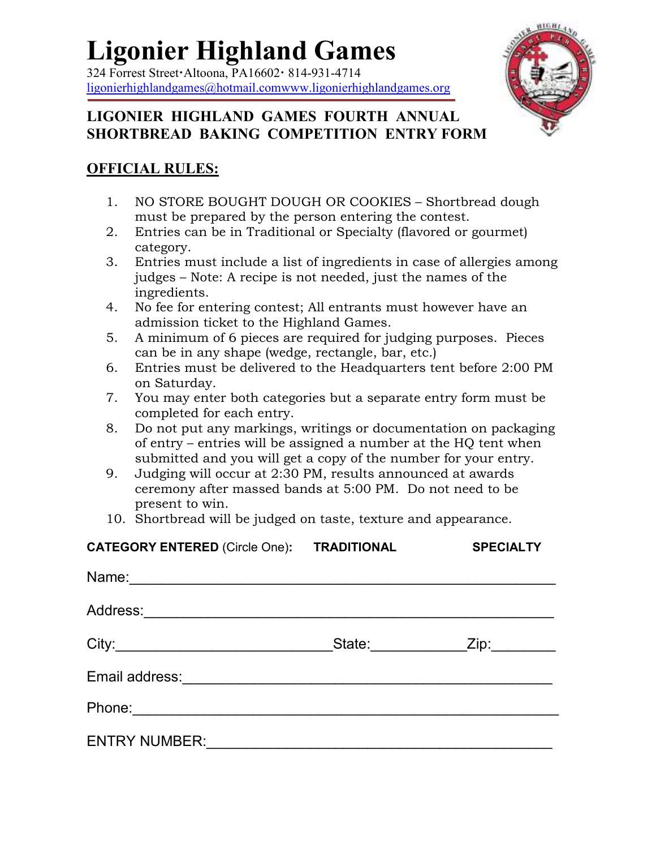# **Ligonier Highland Games**

 $324$  Forrest Street Altoona, PA16602  $\cdot$  814-931-4714 ligonierhighlandgames@hotmail.comwww.ligonierhighlandgames.org



### **LIGONIER HIGHLAND GAMES FOURTH ANNUAL SHORTBREAD BAKING COMPETITION ENTRY FORM**

### **OFFICIAL RULES:**

- 1. NO STORE BOUGHT DOUGH OR COOKIES Shortbread dough must be prepared by the person entering the contest.
- 2. Entries can be in Traditional or Specialty (flavored or gourmet) category.
- 3. Entries must include a list of ingredients in case of allergies among judges – Note: A recipe is not needed, just the names of the ingredients.
- 4. No fee for entering contest; All entrants must however have an admission ticket to the Highland Games.
- 5. A minimum of 6 pieces are required for judging purposes. Pieces can be in any shape (wedge, rectangle, bar, etc.)
- 6. Entries must be delivered to the Headquarters tent before 2:00 PM on Saturday.
- 7. You may enter both categories but a separate entry form must be completed for each entry.
- 8. Do not put any markings, writings or documentation on packaging of entry – entries will be assigned a number at the HQ tent when submitted and you will get a copy of the number for your entry.
- 9. Judging will occur at 2:30 PM, results announced at awards ceremony after massed bands at 5:00 PM. Do not need to be present to win.
- 10. Shortbread will be judged on taste, texture and appearance.

| <b>CATEGORY ENTERED (Circle One):</b>                                                                                           | <b>TRADITIONAL</b> | <b>SPECIALTY</b> |
|---------------------------------------------------------------------------------------------------------------------------------|--------------------|------------------|
| Name:<br><u> 1989 - John Stein, marking and de families and de families and de families and design and design and design a</u>  |                    |                  |
| Address:                                                                                                                        |                    |                  |
|                                                                                                                                 | State:             |                  |
| Email address:                                                                                                                  |                    |                  |
| Phone:<br><u> 1989 - Johann Harry Harry Harry Harry Harry Harry Harry Harry Harry Harry Harry Harry Harry Harry Harry Harry</u> |                    |                  |
| <b>ENTRY NUMBER:</b>                                                                                                            |                    |                  |